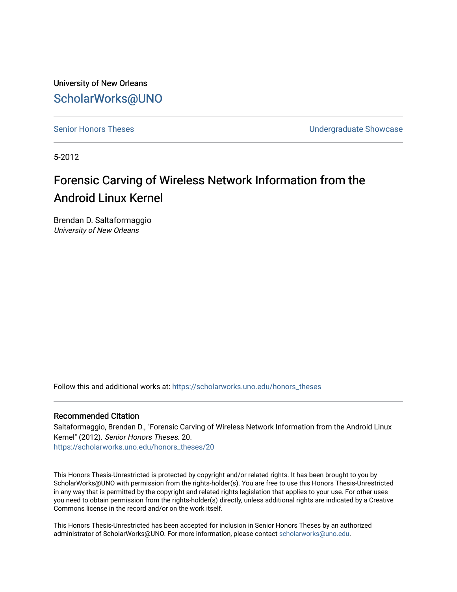University of New Orleans [ScholarWorks@UNO](https://scholarworks.uno.edu/) 

[Senior Honors Theses](https://scholarworks.uno.edu/honors_theses) **No. 2018** Senior Honors Theses **Undergraduate Showcase** 

5-2012

# Forensic Carving of Wireless Network Information from the Android Linux Kernel

Brendan D. Saltaformaggio University of New Orleans

Follow this and additional works at: [https://scholarworks.uno.edu/honors\\_theses](https://scholarworks.uno.edu/honors_theses?utm_source=scholarworks.uno.edu%2Fhonors_theses%2F20&utm_medium=PDF&utm_campaign=PDFCoverPages) 

# Recommended Citation

Saltaformaggio, Brendan D., "Forensic Carving of Wireless Network Information from the Android Linux Kernel" (2012). Senior Honors Theses. 20. [https://scholarworks.uno.edu/honors\\_theses/20](https://scholarworks.uno.edu/honors_theses/20?utm_source=scholarworks.uno.edu%2Fhonors_theses%2F20&utm_medium=PDF&utm_campaign=PDFCoverPages)

This Honors Thesis-Unrestricted is protected by copyright and/or related rights. It has been brought to you by ScholarWorks@UNO with permission from the rights-holder(s). You are free to use this Honors Thesis-Unrestricted in any way that is permitted by the copyright and related rights legislation that applies to your use. For other uses you need to obtain permission from the rights-holder(s) directly, unless additional rights are indicated by a Creative Commons license in the record and/or on the work itself.

This Honors Thesis-Unrestricted has been accepted for inclusion in Senior Honors Theses by an authorized administrator of ScholarWorks@UNO. For more information, please contact [scholarworks@uno.edu](mailto:scholarworks@uno.edu).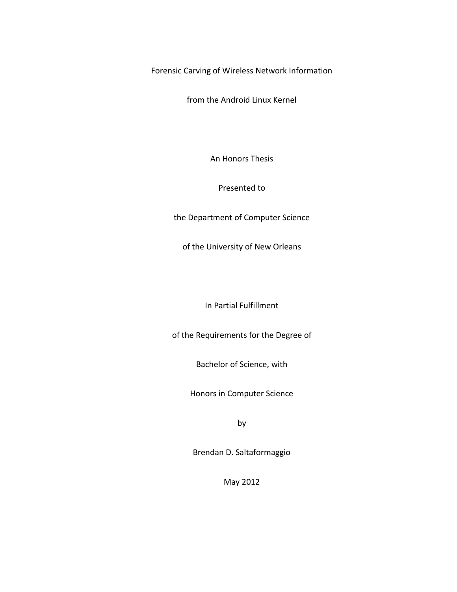Forensic Carving of Wireless Network Information

from the Android Linux Kernel

An Honors Thesis

Presented to

the Department of Computer Science

of the University of New Orleans

In Partial Fulfillment

of the Requirements for the Degree of

Bachelor of Science, with

Honors in Computer Science

by

Brendan D. Saltaformaggio

May 2012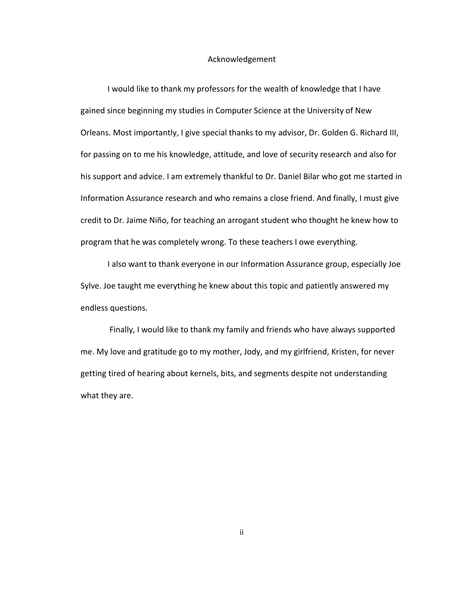# Acknowledgement

I would like to thank my professors for the wealth of knowledge that I have gained since beginning my studies in Computer Science at the University of New Orleans. Most importantly, I give special thanks to my advisor, Dr. Golden G. Richard III, for passing on to me his knowledge, attitude, and love of security research and also for his support and advice. I am extremely thankful to Dr. Daniel Bilar who got me started in Information Assurance research and who remains a close friend. And finally, I must give credit to Dr. Jaime Niño, for teaching an arrogant student who thought he knew how to program that he was completely wrong. To these teachers I owe everything.

I also want to thank everyone in our Information Assurance group, especially Joe Sylve. Joe taught me everything he knew about this topic and patiently answered my endless questions.

Finally, I would like to thank my family and friends who have always supported me. My love and gratitude go to my mother, Jody, and my girlfriend, Kristen, for never getting tired of hearing about kernels, bits, and segments despite not understanding what they are.

ii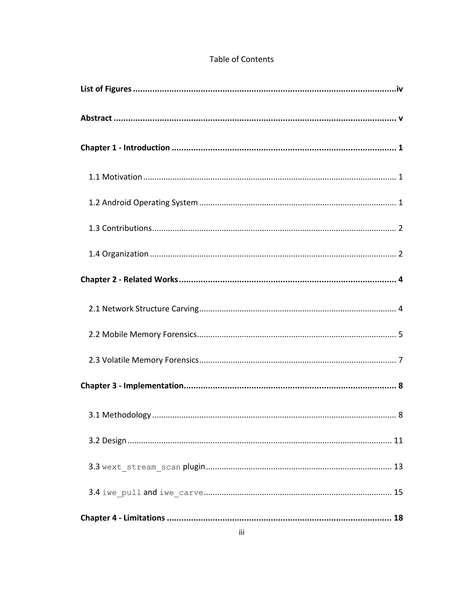# **Table of Contents**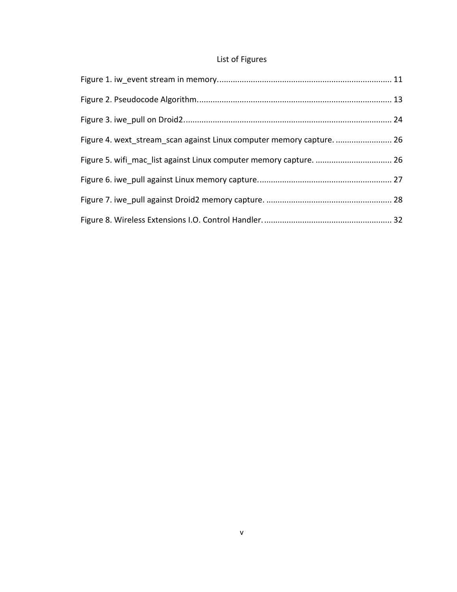# List of Figures

| Figure 4. wext stream scan against Linux computer memory capture.  26 |  |
|-----------------------------------------------------------------------|--|
|                                                                       |  |
|                                                                       |  |
|                                                                       |  |
|                                                                       |  |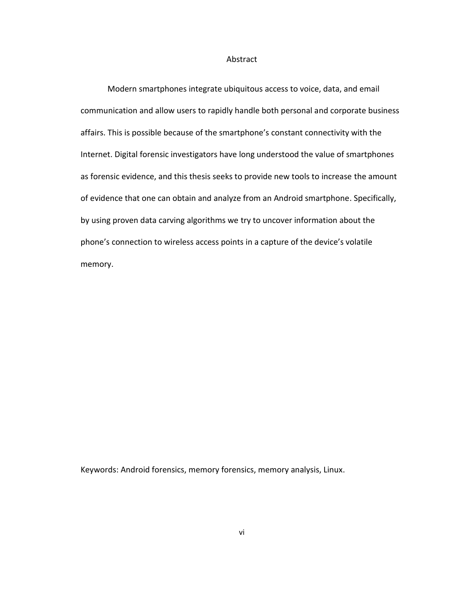#### Abstract

Modern smartphones integrate ubiquitous access to voice, data, and email communication and allow users to rapidly handle both personal and corporate business affairs. This is possible because of the smartphone's constant connectivity with the Internet. Digital forensic investigators have long understood the value of smartphones as forensic evidence, and this thesis seeks to provide new tools to increase the amount of evidence that one can obtain and analyze from an Android smartphone. Specifically, by using proven data carving algorithms we try to uncover information about the phone's connection to wireless access points in a capture of the device's volatile memory.

Keywords: Android forensics, memory forensics, memory analysis, Linux.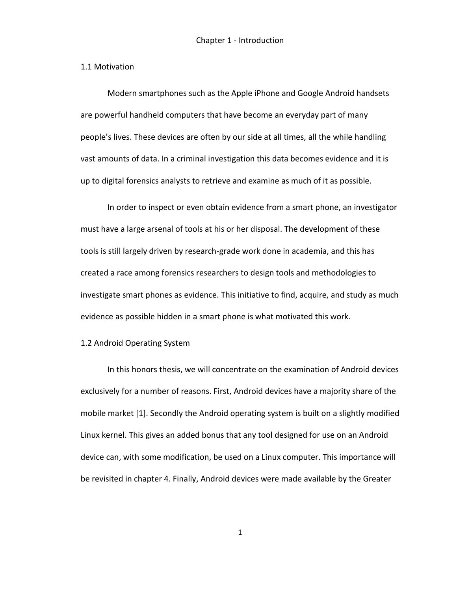#### 1.1 Motivation

Modern smartphones such as the Apple iPhone and Google Android handsets are powerful handheld computers that have become an everyday part of many people's lives. These devices are often by our side at all times, all the while handling vast amounts of data. In a criminal investigation this data becomes evidence and it is up to digital forensics analysts to retrieve and examine as much of it as possible.

In order to inspect or even obtain evidence from a smart phone, an investigator must have a large arsenal of tools at his or her disposal. The development of these tools is still largely driven by research-grade work done in academia, and this has created a race among forensics researchers to design tools and methodologies to investigate smart phones as evidence. This initiative to find, acquire, and study as much evidence as possible hidden in a smart phone is what motivated this work.

#### 1.2 Android Operating System

In this honors thesis, we will concentrate on the examination of Android devices exclusively for a number of reasons. First, Android devices have a majority share of the mobile market [1]. Secondly the Android operating system is built on a slightly modified Linux kernel. This gives an added bonus that any tool designed for use on an Android device can, with some modification, be used on a Linux computer. This importance will be revisited in chapter 4. Finally, Android devices were made available by the Greater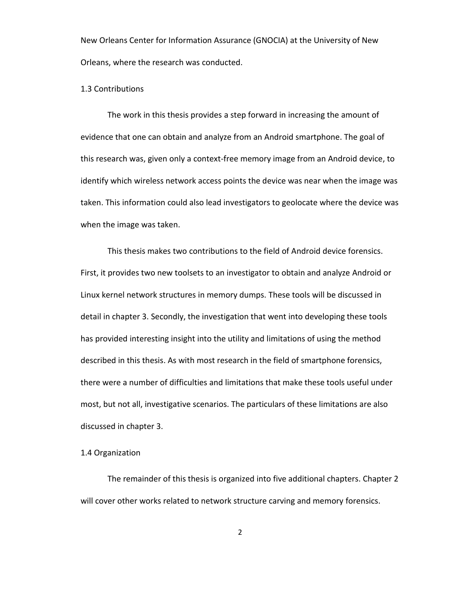New Orleans Center for Information Assurance (GNOCIA) at the University of New Orleans, where the research was conducted.

## 1.3 Contributions

The work in this thesis provides a step forward in increasing the amount of evidence that one can obtain and analyze from an Android smartphone. The goal of this research was, given only a context-free memory image from an Android device, to identify which wireless network access points the device was near when the image was taken. This information could also lead investigators to geolocate where the device was when the image was taken.

This thesis makes two contributions to the field of Android device forensics. First, it provides two new toolsets to an investigator to obtain and analyze Android or Linux kernel network structures in memory dumps. These tools will be discussed in detail in chapter 3. Secondly, the investigation that went into developing these tools has provided interesting insight into the utility and limitations of using the method described in this thesis. As with most research in the field of smartphone forensics, there were a number of difficulties and limitations that make these tools useful under most, but not all, investigative scenarios. The particulars of these limitations are also discussed in chapter 3.

# 1.4 Organization

The remainder of this thesis is organized into five additional chapters. Chapter 2 will cover other works related to network structure carving and memory forensics.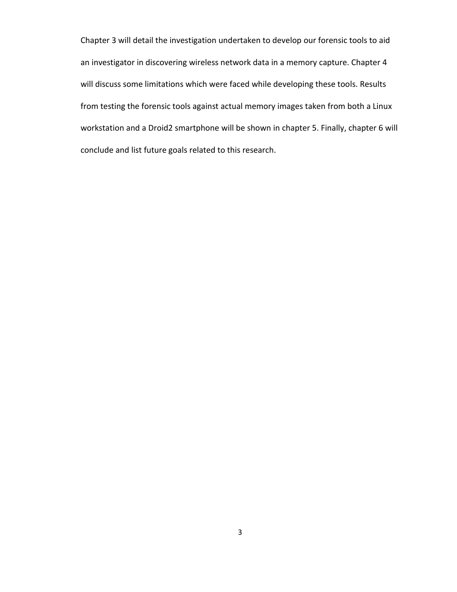Chapter 3 will detail the investigation undertaken to develop our forensic tools to aid an investigator in discovering wireless network data in a memory capture. Chapter 4 will discuss some limitations which were faced while developing these tools. Results from testing the forensic tools against actual memory images taken from both a Linux workstation and a Droid2 smartphone will be shown in chapter 5. Finally, chapter 6 will conclude and list future goals related to this research.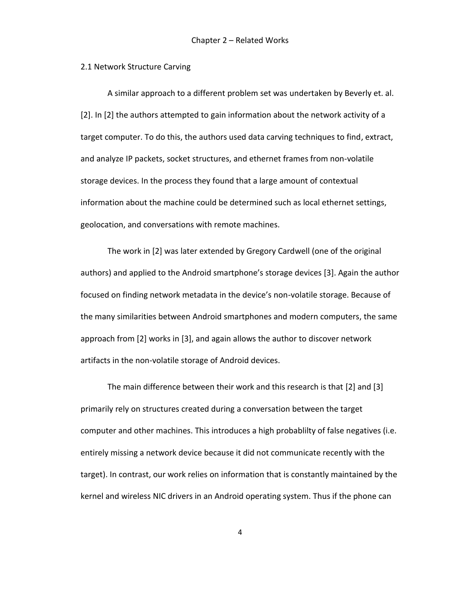#### 2.1 Network Structure Carving

A similar approach to a different problem set was undertaken by Beverly et. al. [2]. In [2] the authors attempted to gain information about the network activity of a target computer. To do this, the authors used data carving techniques to find, extract, and analyze IP packets, socket structures, and ethernet frames from non-volatile storage devices. In the process they found that a large amount of contextual information about the machine could be determined such as local ethernet settings, geolocation, and conversations with remote machines.

The work in [2] was later extended by Gregory Cardwell (one of the original authors) and applied to the Android smartphone's storage devices [3]. Again the author focused on finding network metadata in the device's non-volatile storage. Because of the many similarities between Android smartphones and modern computers, the same approach from [2] works in [3], and again allows the author to discover network artifacts in the non-volatile storage of Android devices.

The main difference between their work and this research is that [2] and [3] primarily rely on structures created during a conversation between the target computer and other machines. This introduces a high probablilty of false negatives (i.e. entirely missing a network device because it did not communicate recently with the target). In contrast, our work relies on information that is constantly maintained by the kernel and wireless NIC drivers in an Android operating system. Thus if the phone can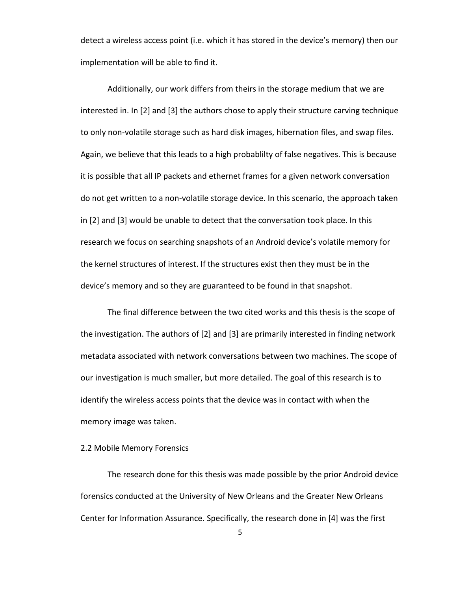detect a wireless access point (i.e. which it has stored in the device's memory) then our implementation will be able to find it.

Additionally, our work differs from theirs in the storage medium that we are interested in. In [2] and [3] the authors chose to apply their structure carving technique to only non-volatile storage such as hard disk images, hibernation files, and swap files. Again, we believe that this leads to a high probablilty of false negatives. This is because it is possible that all IP packets and ethernet frames for a given network conversation do not get written to a non-volatile storage device. In this scenario, the approach taken in [2] and [3] would be unable to detect that the conversation took place. In this research we focus on searching snapshots of an Android device's volatile memory for the kernel structures of interest. If the structures exist then they must be in the device's memory and so they are guaranteed to be found in that snapshot.

The final difference between the two cited works and this thesis is the scope of the investigation. The authors of [2] and [3] are primarily interested in finding network metadata associated with network conversations between two machines. The scope of our investigation is much smaller, but more detailed. The goal of this research is to identify the wireless access points that the device was in contact with when the memory image was taken.

# 2.2 Mobile Memory Forensics

The research done for this thesis was made possible by the prior Android device forensics conducted at the University of New Orleans and the Greater New Orleans Center for Information Assurance. Specifically, the research done in [4] was the first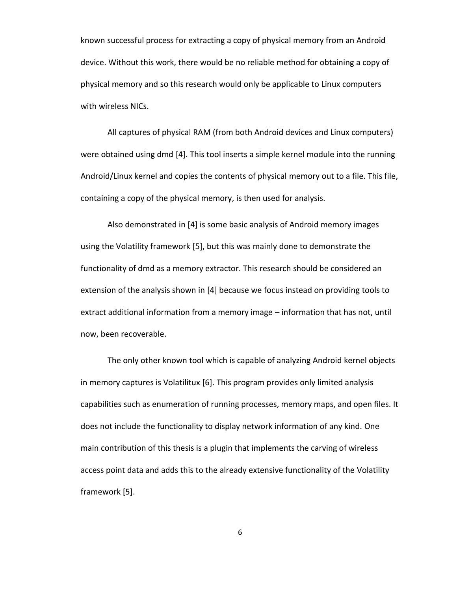known successful process for extracting a copy of physical memory from an Android device. Without this work, there would be no reliable method for obtaining a copy of physical memory and so this research would only be applicable to Linux computers with wireless NICs.

All captures of physical RAM (from both Android devices and Linux computers) were obtained using dmd [4]. This tool inserts a simple kernel module into the running Android/Linux kernel and copies the contents of physical memory out to a file. This file, containing a copy of the physical memory, is then used for analysis.

Also demonstrated in [4] is some basic analysis of Android memory images using the Volatility framework [5], but this was mainly done to demonstrate the functionality of dmd as a memory extractor. This research should be considered an extension of the analysis shown in [4] because we focus instead on providing tools to extract additional information from a memory image – information that has not, until now, been recoverable.

The only other known tool which is capable of analyzing Android kernel objects in memory captures is Volatilitux [6]. This program provides only limited analysis capabilities such as enumeration of running processes, memory maps, and open files. It does not include the functionality to display network information of any kind. One main contribution of this thesis is a plugin that implements the carving of wireless access point data and adds this to the already extensive functionality of the Volatility framework [5].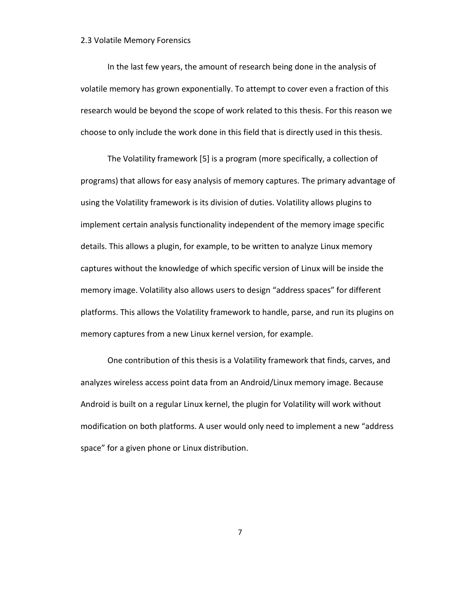#### 2.3 Volatile Memory Forensics

In the last few years, the amount of research being done in the analysis of volatile memory has grown exponentially. To attempt to cover even a fraction of this research would be beyond the scope of work related to this thesis. For this reason we choose to only include the work done in this field that is directly used in this thesis.

The Volatility framework [5] is a program (more specifically, a collection of programs) that allows for easy analysis of memory captures. The primary advantage of using the Volatility framework is its division of duties. Volatility allows plugins to implement certain analysis functionality independent of the memory image specific details. This allows a plugin, for example, to be written to analyze Linux memory captures without the knowledge of which specific version of Linux will be inside the memory image. Volatility also allows users to design "address spaces" for different platforms. This allows the Volatility framework to handle, parse, and run its plugins on memory captures from a new Linux kernel version, for example.

One contribution of this thesis is a Volatility framework that finds, carves, and analyzes wireless access point data from an Android/Linux memory image. Because Android is built on a regular Linux kernel, the plugin for Volatility will work without modification on both platforms. A user would only need to implement a new "address space" for a given phone or Linux distribution.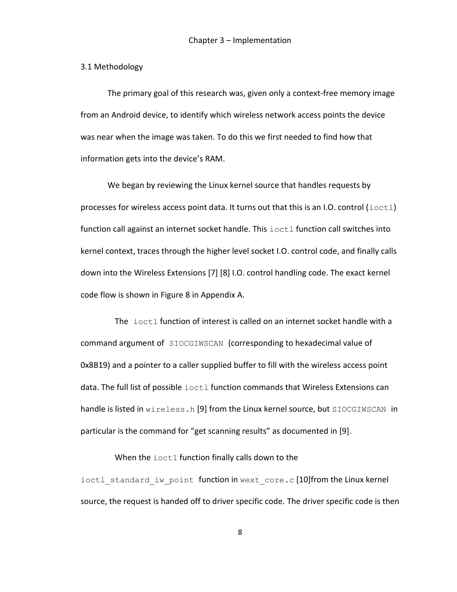#### 3.1 Methodology

The primary goal of this research was, given only a context-free memory image from an Android device, to identify which wireless network access points the device was near when the image was taken. To do this we first needed to find how that information gets into the device's RAM.

We began by reviewing the Linux kernel source that handles requests by processes for wireless access point data. It turns out that this is an I.O. control  $(i<sub>octl</sub>)$ function call against an internet socket handle. This ioctl function call switches into kernel context, traces through the higher level socket I.O. control code, and finally calls down into the Wireless Extensions [7] [8] I.O. control handling code. The exact kernel code flow is shown in Figure 8 in Appendix A.

The ioctl function of interest is called on an internet socket handle with a command argument of SIOCGIWSCAN (corresponding to hexadecimal value of 0x8B19) and a pointer to a caller supplied buffer to fill with the wireless access point data. The full list of possible ioctl function commands that Wireless Extensions can handle is listed in wireless.h [9] from the Linux kernel source, but SIOCGIWSCAN in particular is the command for "get scanning results" as documented in [9].

# When the ioctl function finally calls down to the

ioctl standard iw point function in wext core.c [10]from the Linux kernel source, the request is handed off to driver specific code. The driver specific code is then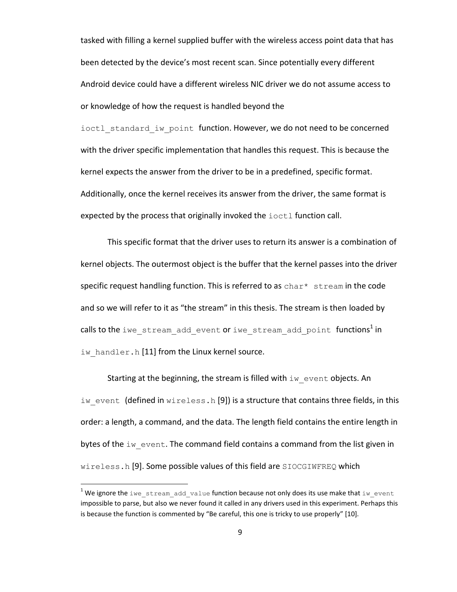tasked with filling a kernel supplied buffer with the wireless access point data that has been detected by the device's most recent scan. Since potentially every different Android device could have a different wireless NIC driver we do not assume access to or knowledge of how the request is handled beyond the

ioctl standard iw point function. However, we do not need to be concerned with the driver specific implementation that handles this request. This is because the kernel expects the answer from the driver to be in a predefined, specific format. Additionally, once the kernel receives its answer from the driver, the same format is expected by the process that originally invoked the ioctl function call.

This specific format that the driver uses to return its answer is a combination of kernel objects. The outermost object is the buffer that the kernel passes into the driver specific request handling function. This is referred to as  $char*$  stream in the code and so we will refer to it as "the stream" in this thesis. The stream is then loaded by calls to the  $\texttt{i}$ we stream add event or  $\texttt{i}$ we stream add point functions $^1$ in iw handler.h [11] from the Linux kernel source.

Starting at the beginning, the stream is filled with iw event objects. An iw event (defined in wireless.h [9]) is a structure that contains three fields, in this order: a length, a command, and the data. The length field contains the entire length in bytes of the  $iw$  event. The command field contains a command from the list given in wireless.h [9]. Some possible values of this field are SIOCGIWFREQ which

 $\overline{\phantom{a}}$ 

<sup>&</sup>lt;sup>1</sup> We ignore the iwe stream\_add\_value function because not only does its use make that iw\_event impossible to parse, but also we never found it called in any drivers used in this experiment. Perhaps this is because the function is commented by "Be careful, this one is tricky to use properly" [10].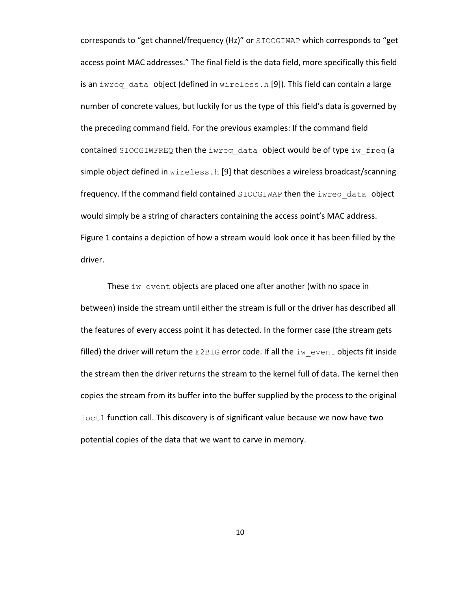corresponds to "get channel/frequency (Hz)" or SIOCGIWAP which corresponds to "get access point MAC addresses." The final field is the data field, more specifically this field is an iwreq data object (defined in wireless.h [9]). This field can contain a large number of concrete values, but luckily for us the type of this field's data is governed by the preceding command field. For the previous examples: If the command field contained SIOCGIWFREQ then the iwreq data object would be of type iw  $freq$  (a simple object defined in wireless.h [9] that describes a wireless broadcast/scanning frequency. If the command field contained SIOCGIWAP then the iwreq data object would simply be a string of characters containing the access point's MAC address. Figure 1 contains a depiction of how a stream would look once it has been filled by the driver.

These  $iw$  event objects are placed one after another (with no space in between) inside the stream until either the stream is full or the driver has described all the features of every access point it has detected. In the former case (the stream gets filled) the driver will return the E2BIG error code. If all the iw event objects fit inside the stream then the driver returns the stream to the kernel full of data. The kernel then copies the stream from its buffer into the buffer supplied by the process to the original ioctl function call. This discovery is of significant value because we now have two potential copies of the data that we want to carve in memory.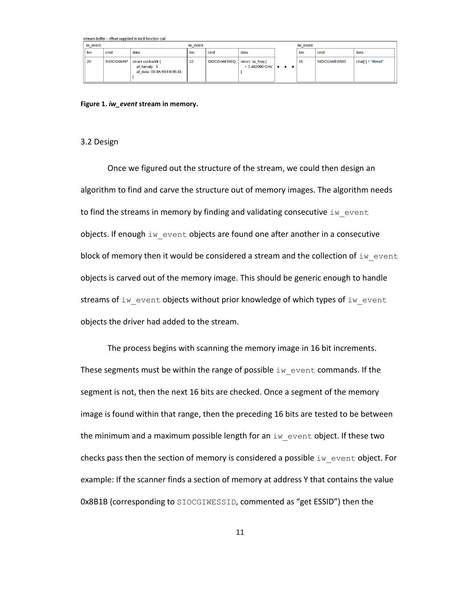|          | stream buffer - offset supplied to loct function call |                  |                                                                 |     |                    |                                                                  |          |     |                     |                       |
|----------|-------------------------------------------------------|------------------|-----------------------------------------------------------------|-----|--------------------|------------------------------------------------------------------|----------|-----|---------------------|-----------------------|
| iw event |                                                       |                  | iw event                                                        |     |                    |                                                                  | iw event |     |                     |                       |
|          | len                                                   | cmd              | data                                                            | len | cmd                | data                                                             |          | len | cmd                 | data                  |
|          | 20                                                    | <b>SIOCGIWAP</b> | struct sockaddr {<br>af famaly: 1<br>af data: 00:3A:99:F6:65:31 | 12  | <b>SIOCGIWFREQ</b> | struct iw freq {<br>$= 2.462000 \text{ GHz}$ $\bullet$ $\bullet$ |          | 15  | <b>SIOCGIWESSID</b> | char[ $]$ = "lifenet" |

<span id="page-17-0"></span>**Figure 1.** *iw\_event* **stream in memory.**

#### 3.2 Design

Once we figured out the structure of the stream, we could then design an algorithm to find and carve the structure out of memory images. The algorithm needs to find the streams in memory by finding and validating consecutive  $\texttt{i}\texttt{w}$  event objects. If enough iw event objects are found one after another in a consecutive block of memory then it would be considered a stream and the collection of  $i_{w}$  event objects is carved out of the memory image. This should be generic enough to handle streams of iw event objects without prior knowledge of which types of iw event objects the driver had added to the stream.

The process begins with scanning the memory image in 16 bit increments. These segments must be within the range of possible  $\exists w$  event commands. If the segment is not, then the next 16 bits are checked. Once a segment of the memory image is found within that range, then the preceding 16 bits are tested to be between the minimum and a maximum possible length for an  $\pm w$  event object. If these two checks pass then the section of memory is considered a possible  $\text{i}\text{w}$  event object. For example: If the scanner finds a section of memory at address Y that contains the value 0x8B1B (corresponding to SIOCGIWESSID, commented as "get ESSID") then the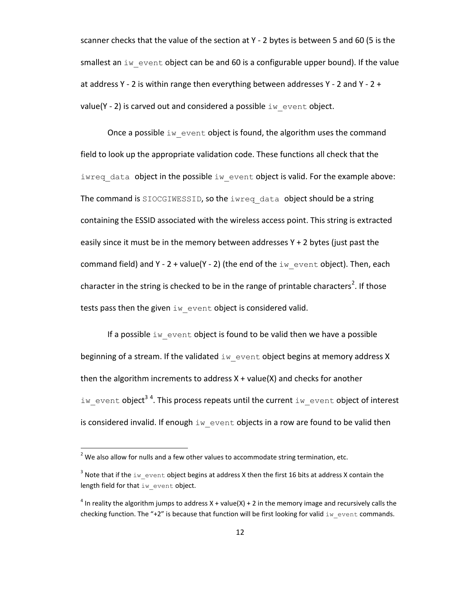scanner checks that the value of the section at Y - 2 bytes is between 5 and 60 (5 is the smallest an  $iw$  event object can be and 60 is a configurable upper bound). If the value at address Y - 2 is within range then everything between addresses Y - 2 and Y -  $2 +$ value(Y - 2) is carved out and considered a possible  $\text{iw}\,$  event object.

Once a possible  $\pm w$  event object is found, the algorithm uses the command field to look up the appropriate validation code. These functions all check that the iwreq data object in the possible iw event object is valid. For the example above: The command is SIOCGIWESSID, so the iwreq data object should be a string containing the ESSID associated with the wireless access point. This string is extracted easily since it must be in the memory between addresses  $Y + 2$  bytes (just past the command field) and Y - 2 + value(Y - 2) (the end of the  $\pm w$  event object). Then, each character in the string is checked to be in the range of printable characters<sup>2</sup>. If those tests pass then the given  $\pm w$  event object is considered valid.

If a possible  $\pm w$  event object is found to be valid then we have a possible beginning of a stream. If the validated  $\text{i}\text{w}$  event object begins at memory address X then the algorithm increments to address  $X + value(X)$  and checks for another iw\_event object<sup>34</sup>. This process repeats until the current iw\_event object of interest is considered invalid. If enough  $\pm w$  event objects in a row are found to be valid then

l

 $2$  We also allow for nulls and a few other values to accommodate string termination, etc.

<sup>&</sup>lt;sup>3</sup> Note that if the  $\text{iw\_event}$  object begins at address X then the first 16 bits at address X contain the length field for that iw event object.

<sup>&</sup>lt;sup>4</sup> In reality the algorithm jumps to address X + value(X) + 2 in the memory image and recursively calls the checking function. The "+2" is because that function will be first looking for valid  $\text{i}w$  event commands.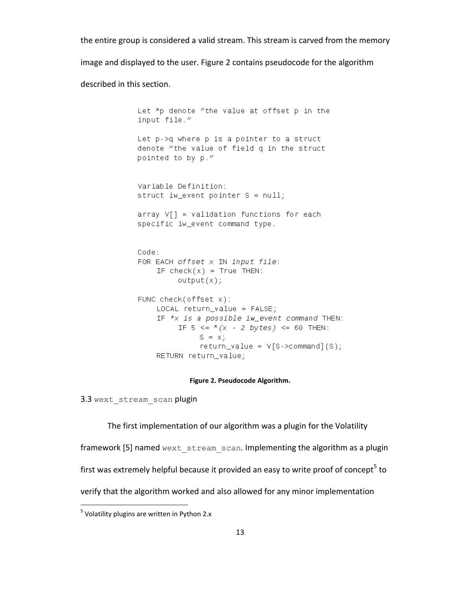the entire group is considered a valid stream. This stream is carved from the memory

image and displayed to the user. Figure 2 contains pseudocode for the algorithm

described in this section.

Let \*p denote "the value at offset p in the input file." Let p->q where p is a pointer to a struct denote "the value of field q in the struct pointed to by p." Variable Definition: struct iw\_event pointer  $S = null$ ;  $array V[] = validation functions for each$ specific iw\_event command type. Code: FOR EACH offset  $x$  IN input file: IF  $check(x) = True$  THEN:  $output(x);$ FUNC check(offset  $x$ ):  $LOCAL$  return\_value =  $FALSE;$ IF  $*$ x is a possible iw\_event command THEN: IF 5 <=  $*(x - 2 bytes)$  <= 60 THEN:  $S = X;$  $return_value = V[S->command](S);$ RETURN return\_value;

#### **Figure 2. Pseudocode Algorithm.**

<span id="page-19-0"></span>3.3 wext stream scan plugin

The first implementation of our algorithm was a plugin for the Volatility framework [5] named wext stream scan. Implementing the algorithm as a plugin first was extremely helpful because it provided an easy to write proof of concept<sup>5</sup> to verify that the algorithm worked and also allowed for any minor implementation

 $\overline{\phantom{a}}$ 

<sup>&</sup>lt;sup>5</sup> Volatility plugins are written in Python 2.x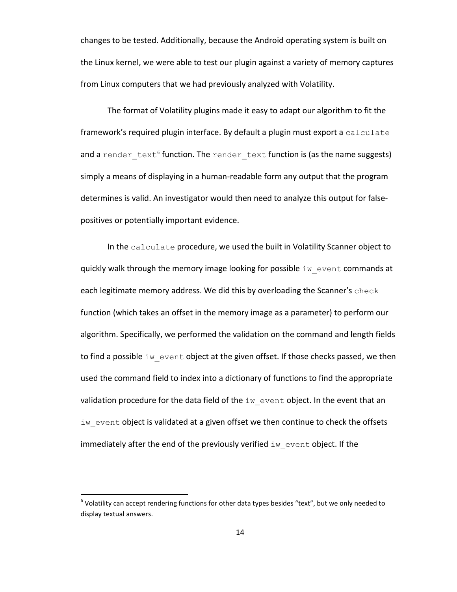changes to be tested. Additionally, because the Android operating system is built on the Linux kernel, we were able to test our plugin against a variety of memory captures from Linux computers that we had previously analyzed with Volatility.

The format of Volatility plugins made it easy to adapt our algorithm to fit the framework's required plugin interface. By default a plugin must export a calculate and a  $\texttt{render\_text}^6$  function. The  $\texttt{render\_text}$  function is (as the name suggests) simply a means of displaying in a human-readable form any output that the program determines is valid. An investigator would then need to analyze this output for falsepositives or potentially important evidence.

In the calculate procedure, we used the built in Volatility Scanner object to quickly walk through the memory image looking for possible iw event commands at each legitimate memory address. We did this by overloading the Scanner's check function (which takes an offset in the memory image as a parameter) to perform our algorithm. Specifically, we performed the validation on the command and length fields to find a possible iw event object at the given offset. If those checks passed, we then used the command field to index into a dictionary of functions to find the appropriate validation procedure for the data field of the  $\pm w$  event object. In the event that an iw event object is validated at a given offset we then continue to check the offsets immediately after the end of the previously verified  $\texttt{iw}$  event object. If the

 $\overline{a}$ 

 $^6$  Volatility can accept rendering functions for other data types besides "text", but we only needed to display textual answers.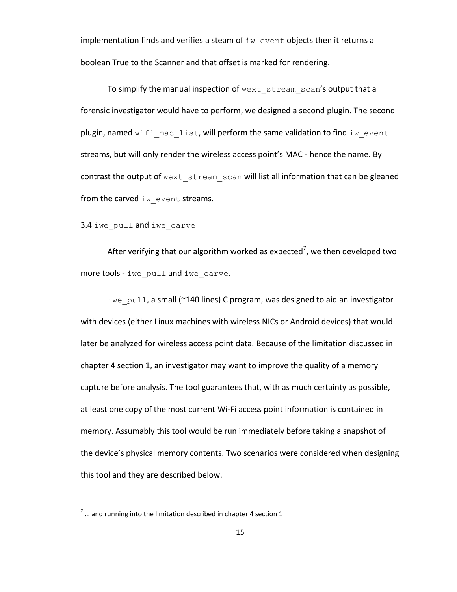implementation finds and verifies a steam of  $\text{iw}\,$  event objects then it returns a boolean True to the Scanner and that offset is marked for rendering.

To simplify the manual inspection of wext stream scan's output that a forensic investigator would have to perform, we designed a second plugin. The second plugin, named wifi mac list, will perform the same validation to find iw event streams, but will only render the wireless access point's MAC - hence the name. By contrast the output of wext stream scan will list all information that can be gleaned from the carved iw event streams.

3.4 iwe pull and iwe carve

After verifying that our algorithm worked as expected<sup>7</sup>, we then developed two more tools - iwe\_pull and iwe\_carve.

iwe pull, a small (~140 lines) C program, was designed to aid an investigator with devices (either Linux machines with wireless NICs or Android devices) that would later be analyzed for wireless access point data. Because of the limitation discussed in chapter 4 section 1, an investigator may want to improve the quality of a memory capture before analysis. The tool guarantees that, with as much certainty as possible, at least one copy of the most current Wi-Fi access point information is contained in memory. Assumably this tool would be run immediately before taking a snapshot of the device's physical memory contents. Two scenarios were considered when designing this tool and they are described below.

 $\overline{\phantom{a}}$ 

 $^7$  ... and running into the limitation described in chapter 4 section 1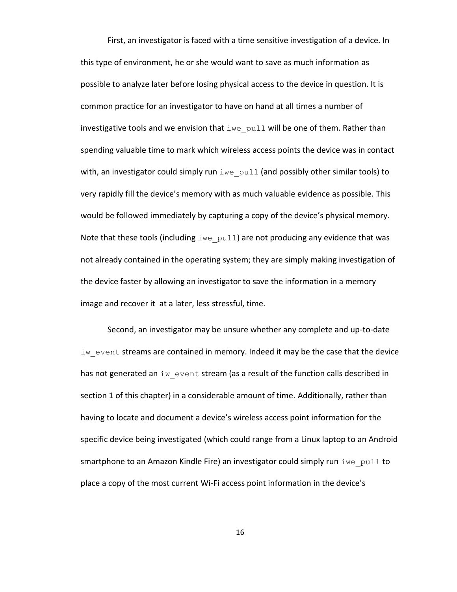First, an investigator is faced with a time sensitive investigation of a device. In this type of environment, he or she would want to save as much information as possible to analyze later before losing physical access to the device in question. It is common practice for an investigator to have on hand at all times a number of investigative tools and we envision that  $\Delta w = p$ ull will be one of them. Rather than spending valuable time to mark which wireless access points the device was in contact with, an investigator could simply run  $\pm w e$  pull (and possibly other similar tools) to very rapidly fill the device's memory with as much valuable evidence as possible. This would be followed immediately by capturing a copy of the device's physical memory. Note that these tools (including  $\Delta w = p \ln 1$ ) are not producing any evidence that was not already contained in the operating system; they are simply making investigation of the device faster by allowing an investigator to save the information in a memory image and recover it at a later, less stressful, time.

Second, an investigator may be unsure whether any complete and up-to-date  $iw$  event streams are contained in memory. Indeed it may be the case that the device has not generated an  $iw$  event stream (as a result of the function calls described in section 1 of this chapter) in a considerable amount of time. Additionally, rather than having to locate and document a device's wireless access point information for the specific device being investigated (which could range from a Linux laptop to an Android smartphone to an Amazon Kindle Fire) an investigator could simply run  $\text{1 we pull to}$ place a copy of the most current Wi-Fi access point information in the device's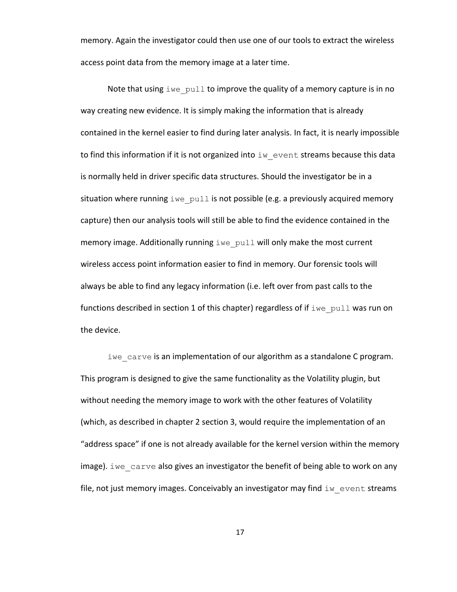memory. Again the investigator could then use one of our tools to extract the wireless access point data from the memory image at a later time.

Note that using  $\pm w$  pull to improve the quality of a memory capture is in no way creating new evidence. It is simply making the information that is already contained in the kernel easier to find during later analysis. In fact, it is nearly impossible to find this information if it is not organized into  $\pm w$  event streams because this data is normally held in driver specific data structures. Should the investigator be in a situation where running  $\text{true}_p$  pull is not possible (e.g. a previously acquired memory capture) then our analysis tools will still be able to find the evidence contained in the memory image. Additionally running iwe pull will only make the most current wireless access point information easier to find in memory. Our forensic tools will always be able to find any legacy information (i.e. left over from past calls to the functions described in section 1 of this chapter) regardless of if  $\text{time\_pull}$  was run on the device.

iwe carve is an implementation of our algorithm as a standalone C program. This program is designed to give the same functionality as the Volatility plugin, but without needing the memory image to work with the other features of Volatility (which, as described in chapter 2 section 3, would require the implementation of an "address space" if one is not already available for the kernel version within the memory image). iwe carve also gives an investigator the benefit of being able to work on any file, not just memory images. Conceivably an investigator may find  $\pm w$  event streams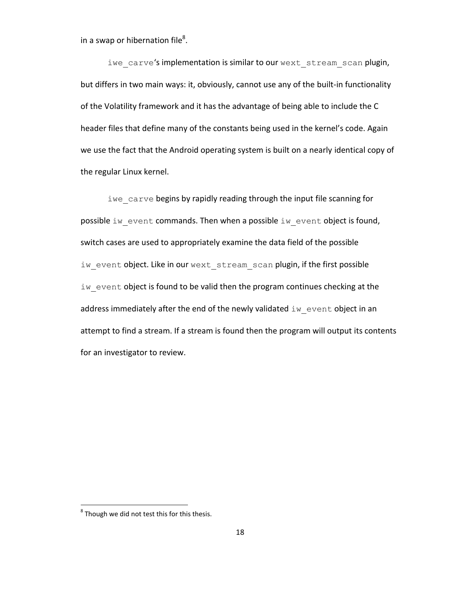in a swap or hibernation file<sup>8</sup>.

iwe carve's implementation is similar to our wext stream scan plugin, but differs in two main ways: it, obviously, cannot use any of the built-in functionality of the Volatility framework and it has the advantage of being able to include the C header files that define many of the constants being used in the kernel's code. Again we use the fact that the Android operating system is built on a nearly identical copy of the regular Linux kernel.

iwe carve begins by rapidly reading through the input file scanning for possible iw event commands. Then when a possible iw event object is found, switch cases are used to appropriately examine the data field of the possible iw event object. Like in our wext stream scan plugin, if the first possible iw event object is found to be valid then the program continues checking at the address immediately after the end of the newly validated  $\text{i}\text{w}$  event object in an attempt to find a stream. If a stream is found then the program will output its contents for an investigator to review.

 $\overline{\phantom{a}}$ 

 $^8$  Though we did not test this for this thesis.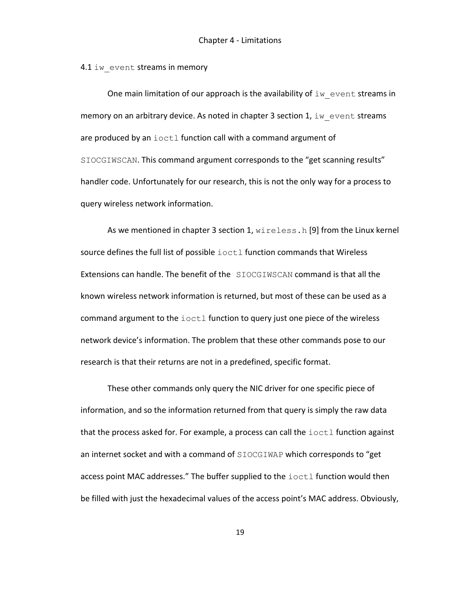4.1 iw event streams in memory

One main limitation of our approach is the availability of  $\text{iw}\,$  event streams in memory on an arbitrary device. As noted in chapter 3 section 1,  $\text{i}w$  event streams are produced by an  $i$  octl function call with a command argument of SIOCGIWSCAN. This command argument corresponds to the "get scanning results" handler code. Unfortunately for our research, this is not the only way for a process to query wireless network information.

As we mentioned in chapter 3 section 1, wireless.h [9] from the Linux kernel source defines the full list of possible  $\text{i}$  octl function commands that Wireless Extensions can handle. The benefit of the SIOCGIWSCAN command is that all the known wireless network information is returned, but most of these can be used as a command argument to the ioctl function to query just one piece of the wireless network device's information. The problem that these other commands pose to our research is that their returns are not in a predefined, specific format.

These other commands only query the NIC driver for one specific piece of information, and so the information returned from that query is simply the raw data that the process asked for. For example, a process can call the  $i$ octl function against an internet socket and with a command of SIOCGIWAP which corresponds to "get access point MAC addresses." The buffer supplied to the ioctl function would then be filled with just the hexadecimal values of the access point's MAC address. Obviously,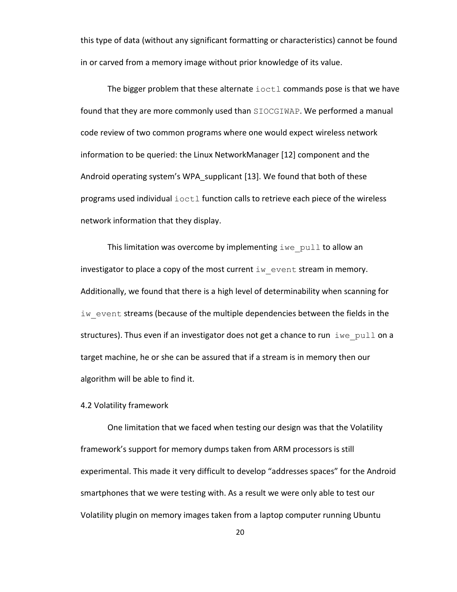this type of data (without any significant formatting or characteristics) cannot be found in or carved from a memory image without prior knowledge of its value.

The bigger problem that these alternate ioctl commands pose is that we have found that they are more commonly used than SIOCGIWAP. We performed a manual code review of two common programs where one would expect wireless network information to be queried: the Linux NetworkManager [12] component and the Android operating system's WPA\_supplicant [13]. We found that both of these programs used individual ioctl function calls to retrieve each piece of the wireless network information that they display.

This limitation was overcome by implementing  $\text{true}_p$  pull to allow an investigator to place a copy of the most current  $\pm w$  event stream in memory. Additionally, we found that there is a high level of determinability when scanning for iw event streams (because of the multiple dependencies between the fields in the structures). Thus even if an investigator does not get a chance to run  $\pm w$  pull on a target machine, he or she can be assured that if a stream is in memory then our algorithm will be able to find it.

# 4.2 Volatility framework

One limitation that we faced when testing our design was that the Volatility framework's support for memory dumps taken from ARM processors is still experimental. This made it very difficult to develop "addresses spaces" for the Android smartphones that we were testing with. As a result we were only able to test our Volatility plugin on memory images taken from a laptop computer running Ubuntu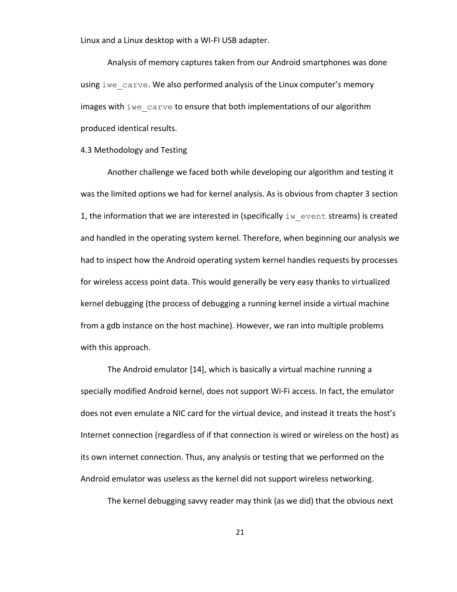Linux and a Linux desktop with a WI-FI USB adapter.

Analysis of memory captures taken from our Android smartphones was done using iwe carve. We also performed analysis of the Linux computer's memory images with iwe carve to ensure that both implementations of our algorithm produced identical results.

4.3 Methodology and Testing

Another challenge we faced both while developing our algorithm and testing it was the limited options we had for kernel analysis. As is obvious from chapter 3 section 1, the information that we are interested in (specifically  $\mathbf{1}w$  event streams) is created and handled in the operating system kernel. Therefore, when beginning our analysis we had to inspect how the Android operating system kernel handles requests by processes for wireless access point data. This would generally be very easy thanks to virtualized kernel debugging (the process of debugging a running kernel inside a virtual machine from a gdb instance on the host machine). However, we ran into multiple problems with this approach.

The Android emulator [14], which is basically a virtual machine running a specially modified Android kernel, does not support Wi-Fi access. In fact, the emulator does not even emulate a NIC card for the virtual device, and instead it treats the host's Internet connection (regardless of if that connection is wired or wireless on the host) as its own internet connection. Thus, any analysis or testing that we performed on the Android emulator was useless as the kernel did not support wireless networking.

The kernel debugging savvy reader may think (as we did) that the obvious next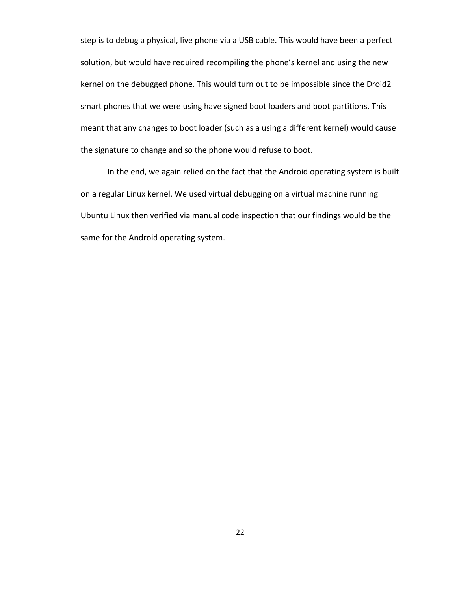step is to debug a physical, live phone via a USB cable. This would have been a perfect solution, but would have required recompiling the phone's kernel and using the new kernel on the debugged phone. This would turn out to be impossible since the Droid2 smart phones that we were using have signed boot loaders and boot partitions. This meant that any changes to boot loader (such as a using a different kernel) would cause the signature to change and so the phone would refuse to boot.

In the end, we again relied on the fact that the Android operating system is built on a regular Linux kernel. We used virtual debugging on a virtual machine running Ubuntu Linux then verified via manual code inspection that our findings would be the same for the Android operating system.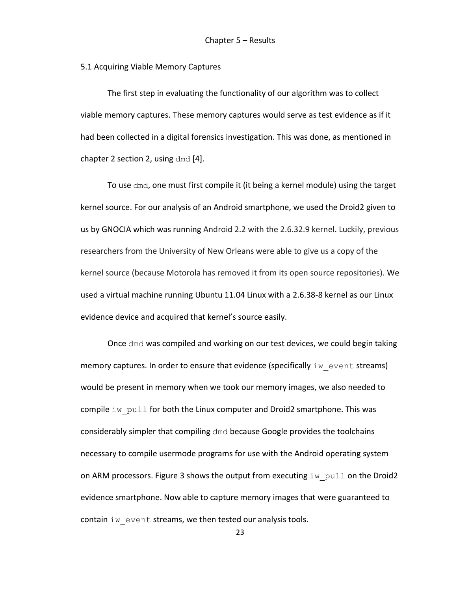#### 5.1 Acquiring Viable Memory Captures

The first step in evaluating the functionality of our algorithm was to collect viable memory captures. These memory captures would serve as test evidence as if it had been collected in a digital forensics investigation. This was done, as mentioned in chapter 2 section 2, using dmd [4].

To use dmd, one must first compile it (it being a kernel module) using the target kernel source. For our analysis of an Android smartphone, we used the Droid2 given to us by GNOCIA which was running Android 2.2 with the 2.6.32.9 kernel. Luckily, previous researchers from the University of New Orleans were able to give us a copy of the kernel source (because Motorola has removed it from its open source repositories). We used a virtual machine running Ubuntu 11.04 Linux with a 2.6.38-8 kernel as our Linux evidence device and acquired that kernel's source easily.

Once dmd was compiled and working on our test devices, we could begin taking memory captures. In order to ensure that evidence (specifically  $\text{i}w$  event streams) would be present in memory when we took our memory images, we also needed to compile  $\text{im}-p$ ull for both the Linux computer and Droid2 smartphone. This was considerably simpler that compiling dmd because Google provides the toolchains necessary to compile usermode programs for use with the Android operating system on ARM processors. Figure 3 shows the output from executing  $\pm w$  pull on the Droid2 evidence smartphone. Now able to capture memory images that were guaranteed to contain iw event streams, we then tested our analysis tools.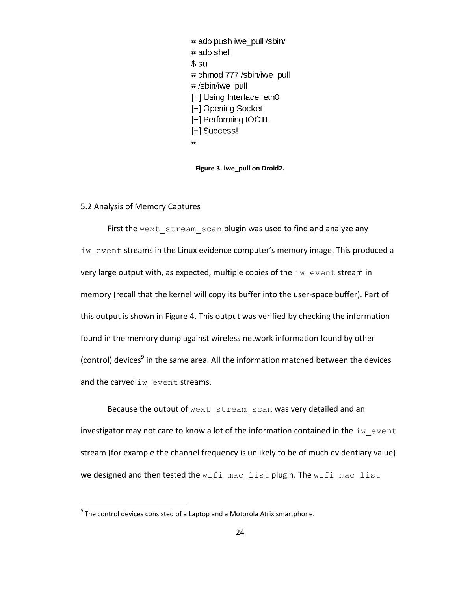# adb push iwe pull /sbin/  $#$  adb shell  $$ \mathrm{su}$ # chmod 777 /sbin/iwe pull #/sbin/iwe pull [+] Using Interface: eth0 [+] Opening Socket [+] Performing IOCTL [+] Success!  $#$ 

**Figure 3. iwe\_pull on Droid2.**

# <span id="page-30-0"></span>5.2 Analysis of Memory Captures

First the wext stream scan plugin was used to find and analyze any iw event streams in the Linux evidence computer's memory image. This produced a very large output with, as expected, multiple copies of the  $\pm w$  event stream in memory (recall that the kernel will copy its buffer into the user-space buffer). Part of this output is shown in Figure 4. This output was verified by checking the information found in the memory dump against wireless network information found by other (control) devices<sup>9</sup> in the same area. All the information matched between the devices and the carved iw event streams.

Because the output of wext stream scan was very detailed and an investigator may not care to know a lot of the information contained in the  $\pm w$  event stream (for example the channel frequency is unlikely to be of much evidentiary value) we designed and then tested the wifi mac list plugin. The wifi mac list

 $\overline{\phantom{a}}$ 

 $^9$  The control devices consisted of a Laptop and a Motorola Atrix smartphone.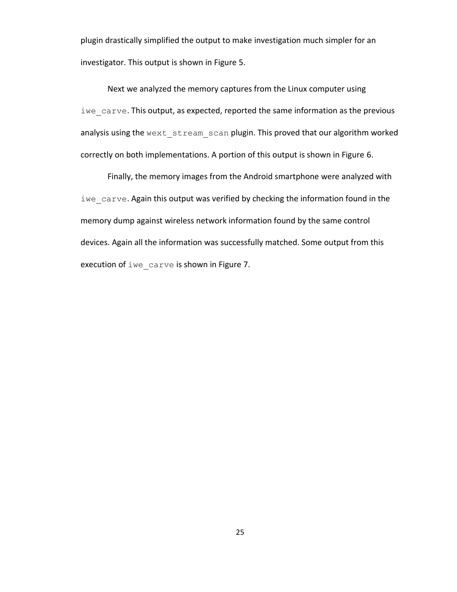plugin drastically simplified the output to make investigation much simpler for an investigator. This output is shown in Figure 5.

Next we analyzed the memory captures from the Linux computer using iwe carve. This output, as expected, reported the same information as the previous analysis using the wext stream scan plugin. This proved that our algorithm worked correctly on both implementations. A portion of this output is shown in Figure 6.

Finally, the memory images from the Android smartphone were analyzed with iwe carve. Again this output was verified by checking the information found in the memory dump against wireless network information found by the same control devices. Again all the information was successfully matched. Some output from this execution of iwe carve is shown in Figure 7.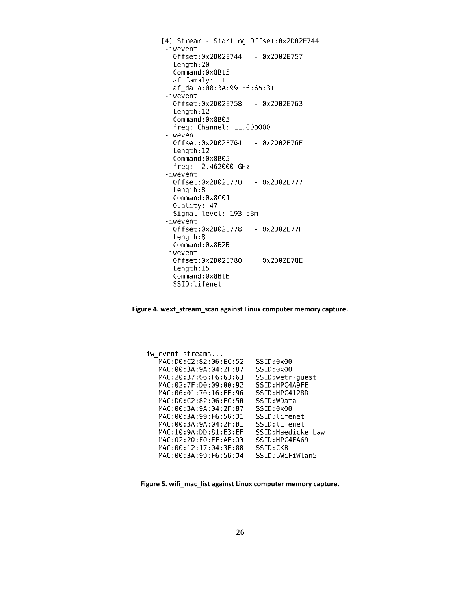[4] Stream - Starting Offset:0x2D02E744 -iwevent Offset:0x2D02E744  $-$  0x2D02E757 Length:20 Command:0x8B15 af\_famaly: 1 af\_data:00:3A:99:F6:65:31 -iwevent Offset:0x2D02E758  $-$  0x2D02E763 Length: 12 Command:0x8B05 freq: Channel: 11.000000 -iwevent Offset:0x2D02E764  $-$  0x2D02E76F  $Length: 12$ Command:0x8B05 freq: 2.462000 GHz -iwevent Offset:0x2D02E770  $-$  0x2D02E777  $Length:8$ Command:0x8C01 Quality: 47 Signal level: 193 dBm -iwevent Offset:0x2D02E778 - 0x2D02E77F Length:8 Command: 0x8B2B -iwevent Offset:0x2D02E780 - 0x2D02E78E Length: 15 Command:0x8B1B SSID:lifenet

<span id="page-32-0"></span>**Figure 4. wext\_stream\_scan against Linux computer memory capture.**

iw\_event streams... MAC: D0: C2: 82: 06: EC: 52 SSID:0x00 MAC: 00: 3A: 9A: 04: 2F: 87 SSID:0x00 MAC: 20: 37: 06: F6: 63: 63 SSID:wetr-guest SSID: HPC4A9FE MAC: 02: 7F: D0: 09: 00: 92 MAC: 06: 01: 70: 16: FE: 96 SSID:HPC4128D MAC: D0: C2: 82: 06: EC: 50 SSID: WData MAC: 00: 3A: 9A: 04: 2F: 87 SSID:0x00 MAC: 00: 3A: 99: F6: 56: D1 SSID:lifenet MAC: 00: 3A: 9A: 04: 2F: 81 SSID:lifenet MAC: 10: 9A: DD: 81: E3: EF SSID:Haedicke Law MAC: 02:20: E0: EE: AE: D3 SSID:HPC4EA69 MAC: 00:12:17:04:3E:88 SSID:CKB MAC: 00: 3A: 99: F6: 56: D4 SSID: 5WiFiWlan5

<span id="page-32-1"></span>**Figure 5. wifi\_mac\_list against Linux computer memory capture.**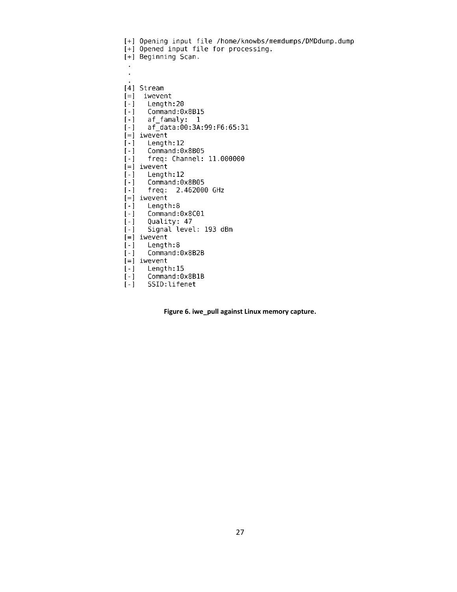```
[+] Opening input file /home/knowbs/memdumps/DMDdump.dump
[+] Opened input file for processing.
[+] Beginning Scan.
[4] Stream
[-] iwevent
[-] Length: 20
      Command:0x8B15
[-]af_famaly: 1
[-][-]af_data:00:3A:99:F6:65:31
[-] iwevent
[-]Length:12
[-]Command:0x8B05
[-]freq: Channel: 11.000000
[-] iwevent
[-]Length:12
\lceil - \rceilCommand:0x8B05
\lbrack - \rbrackfreq: 2.462000 GHz
[-] iwevent
\lceil - \rceilLength:8
[-]Command:0x8C01
[-]Quality: 47
[-]Signal level: 193 dBm
[-] iwevent
[-]Length:8
      Command:0x8B2B
[-][-] iwevent
[-] Length:15<br>[-] Command:0x8B<br>[-] SSID:lifenet
      Command: 0x8B1B
```
<span id="page-33-0"></span>**Figure 6. iwe\_pull against Linux memory capture.**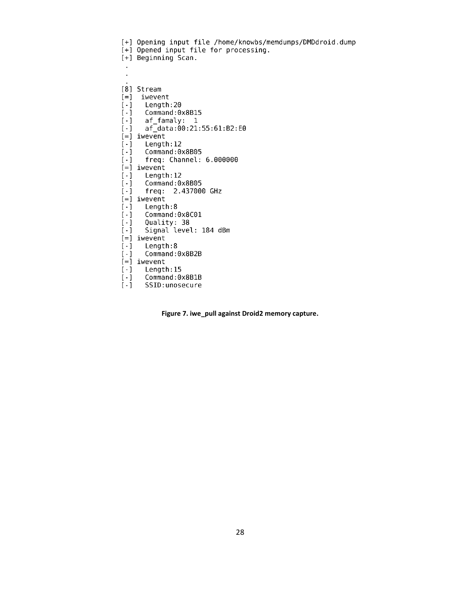```
[+] Opening input file /home/knowbs/memdumps/DMDdroid.dump
[+] Opened input file for processing.
[+] Beginning Scan.
 \mathcal{L}_{\mathcal{A}}[8] Stream
[-] iwevent
[-1]Length: 20
       Command: 0x8B15
\lceil - \rceil[-1]af famaly: 1
       af data:00:21:55:61:B2:E0
[-1][-] iwevent
[-1]Length: 12
[-]Command: 0x8B05
[-1]freq: Channel: 6.000000
[=] iwevent
[-]Length: 12
       Command:0x8B05
\lbrack - \rbrack\left[\cdot\right]freq: 2.437000 GHz
[-] iwevent
      Length:8
[-1]Command:0x8C01
[-]Quality: 38
\lceil - \rceil[-]Signal level: 184 dBm
[-] iwevent
[-]Length:8
[-]Command: 0x8B2B
[-] iwevent
[-] Length: 15
       Command: 0x8B1B
[-]\lceil - \rceilSSID: unosecure
```
<span id="page-34-0"></span>**Figure 7. iwe\_pull against Droid2 memory capture.**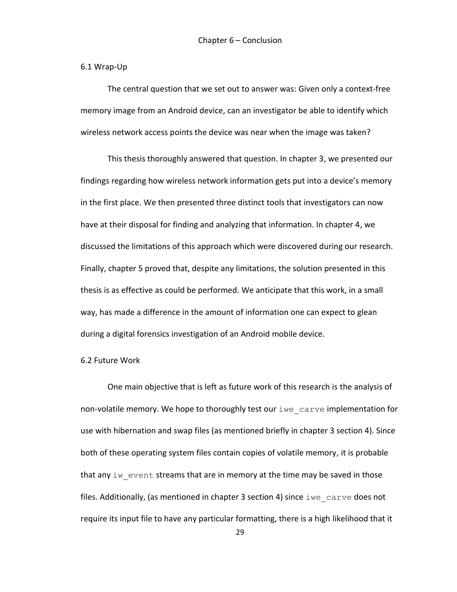### 6.1 Wrap-Up

The central question that we set out to answer was: Given only a context-free memory image from an Android device, can an investigator be able to identify which wireless network access points the device was near when the image was taken?

This thesis thoroughly answered that question. In chapter 3, we presented our findings regarding how wireless network information gets put into a device's memory in the first place. We then presented three distinct tools that investigators can now have at their disposal for finding and analyzing that information. In chapter 4, we discussed the limitations of this approach which were discovered during our research. Finally, chapter 5 proved that, despite any limitations, the solution presented in this thesis is as effective as could be performed. We anticipate that this work, in a small way, has made a difference in the amount of information one can expect to glean during a digital forensics investigation of an Android mobile device.

# 6.2 Future Work

One main objective that is left as future work of this research is the analysis of non-volatile memory. We hope to thoroughly test our iwe carve implementation for use with hibernation and swap files (as mentioned briefly in chapter 3 section 4). Since both of these operating system files contain copies of volatile memory, it is probable that any iw event streams that are in memory at the time may be saved in those files. Additionally, (as mentioned in chapter 3 section 4) since  $\pm w$ e carve does not require its input file to have any particular formatting, there is a high likelihood that it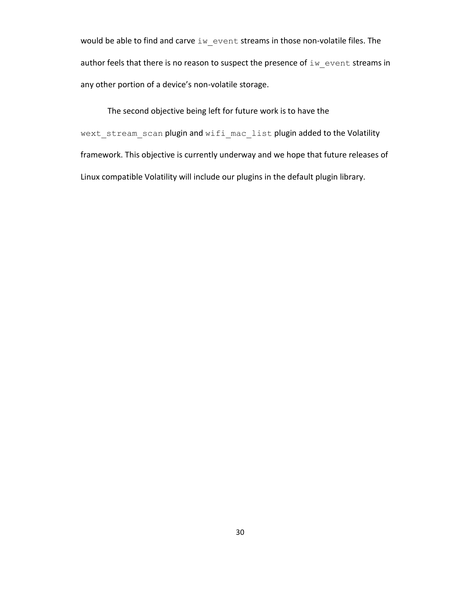would be able to find and carve iw event streams in those non-volatile files. The author feels that there is no reason to suspect the presence of  $\texttt{iw\_event}$  streams in any other portion of a device's non-volatile storage.

The second objective being left for future work is to have the wext stream scan plugin and wifi mac list plugin added to the Volatility framework. This objective is currently underway and we hope that future releases of Linux compatible Volatility will include our plugins in the default plugin library.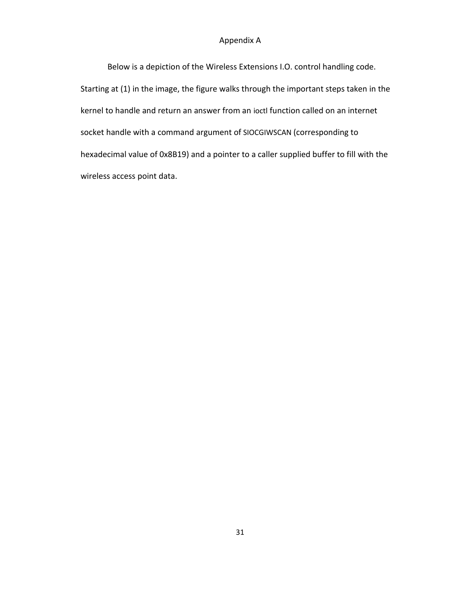# Appendix A

Below is a depiction of the Wireless Extensions I.O. control handling code. Starting at (1) in the image, the figure walks through the important steps taken in the kernel to handle and return an answer from an ioctl function called on an internet socket handle with a command argument of SIOCGIWSCAN (corresponding to hexadecimal value of 0x8B19) and a pointer to a caller supplied buffer to fill with the wireless access point data.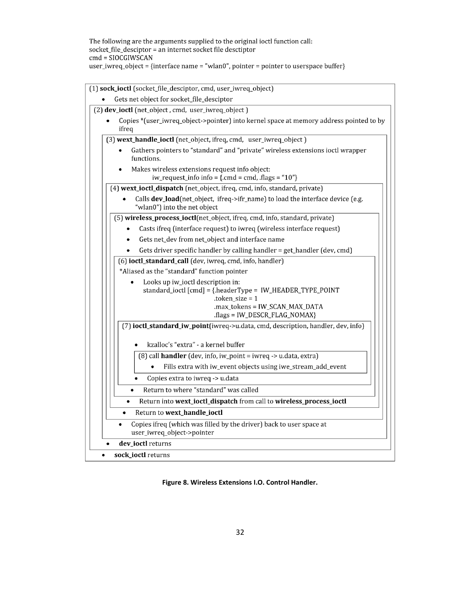The following are the arguments supplied to the original ioctl function call:  $\rm{socket\_file\_desciptor = an\, internet\, socket\,file\,desciptor}$  $cmd = SIOCGIWSCAN$ user\_iwreq\_object = {interface name = "wlan0", pointer = pointer to userspace buffer}

| (1) sock_ioctl (socket_file_desciptor, cmd, user_iwreq_object)                                                                                                                           |
|------------------------------------------------------------------------------------------------------------------------------------------------------------------------------------------|
| Gets net object for socket_file_desciptor                                                                                                                                                |
| (2) dev_ioctl (net_object, cmd, user_iwreq_object)                                                                                                                                       |
| Copies *(user_iwreq_object->pointer) into kernel space at memory address pointed to by<br>ifreq                                                                                          |
| (3) wext_handle_ioctl (net_object, ifreq, cmd, user_iwreq_object)                                                                                                                        |
| Gathers pointers to "standard" and "private" wireless extensions ioctl wrapper<br>functions.                                                                                             |
| Makes wireless extensions request info object:<br>iw_request_info info = {.cmd = cmd, .flags = " $10$ "}                                                                                 |
| (4) wext_ioctl_dispatch (net_object, ifreq, cmd, info, standard, private)                                                                                                                |
| Calls dev_load(net_object, ifreq->ifr_name) to load the interface device (e.g.<br>"wlan0") into the net object                                                                           |
| (5) wireless_process_ioctl(net_object, ifreq, cmd, info, standard, private)                                                                                                              |
| Casts ifreq (interface request) to iwreq (wireless interface request)                                                                                                                    |
| Gets net_dev from net_object and interface name                                                                                                                                          |
| Gets driver specific handler by calling handler = get_handler (dev, cmd)                                                                                                                 |
| (6) ioctl_standard_call (dev, iwreq, cmd, info, handler)                                                                                                                                 |
| *Aliased as the "standard" function pointer                                                                                                                                              |
| Looks up iw_ioctl description in:<br>standard_ioctl [cmd] = {.headerType = IW_HEADER_TYPE_POINT<br>$.$ token_size = 1<br>.max_tokens = IW_SCAN_MAX_DATA<br>.flags = IW_DESCR_FLAG_NOMAX} |
| (7) ioctl_standard_iw_point(iwreq->u.data, cmd, description, handler, dev, info)                                                                                                         |
| kzalloc's "extra" - a kernel buffer                                                                                                                                                      |
| (8) call handler (dev, info, iw_point = iwreq -> u.data, extra)                                                                                                                          |
| Fills extra with iw_event objects using iwe_stream_add_event                                                                                                                             |
| Copies extra to iwreq -> u.data<br>$\bullet$                                                                                                                                             |
| Return to where "standard" was called                                                                                                                                                    |
| Return into wext_ioctl_dispatch from call to wireless_process_ioctl                                                                                                                      |
| Return to wext_handle_ioctl                                                                                                                                                              |
| Copies ifreq (which was filled by the driver) back to user space at<br>user_iwreq_object->pointer                                                                                        |
| dev_ioctl returns                                                                                                                                                                        |
| sock_ioctl returns                                                                                                                                                                       |

<span id="page-38-0"></span>**Figure 8. Wireless Extensions I.O. Control Handler.**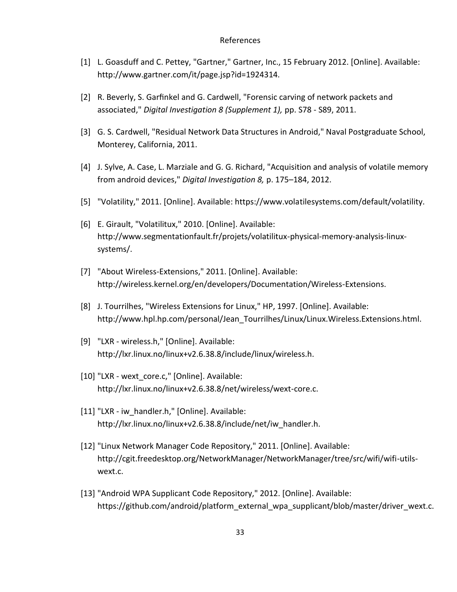#### References

- [1] L. Goasduff and C. Pettey, "Gartner," Gartner, Inc., 15 February 2012. [Online]. Available: http://www.gartner.com/it/page.jsp?id=1924314.
- [2] R. Beverly, S. Garfinkel and G. Cardwell, "Forensic carving of network packets and associated," *Digital Investigation 8 (Supplement 1),* pp. S78 - S89, 2011.
- [3] G. S. Cardwell, "Residual Network Data Structures in Android," Naval Postgraduate School, Monterey, California, 2011.
- [4] J. Sylve, A. Case, L. Marziale and G. G. Richard, "Acquisition and analysis of volatile memory from android devices," *Digital Investigation 8,* p. 175–184, 2012.
- [5] "Volatility," 2011. [Online]. Available: https://www.volatilesystems.com/default/volatility.
- [6] E. Girault, "Volatilitux," 2010. [Online]. Available: http://www.segmentationfault.fr/projets/volatilitux-physical-memory-analysis-linuxsystems/.
- [7] "About Wireless-Extensions," 2011. [Online]. Available: http://wireless.kernel.org/en/developers/Documentation/Wireless-Extensions.
- [8] J. Tourrilhes, "Wireless Extensions for Linux," HP, 1997. [Online]. Available: http://www.hpl.hp.com/personal/Jean\_Tourrilhes/Linux/Linux.Wireless.Extensions.html.
- [9] "LXR wireless.h," [Online]. Available: http://lxr.linux.no/linux+v2.6.38.8/include/linux/wireless.h.
- [10] "LXR wext core.c," [Online]. Available: http://lxr.linux.no/linux+v2.6.38.8/net/wireless/wext-core.c.
- [11] "LXR iw\_handler.h," [Online]. Available: http://lxr.linux.no/linux+v2.6.38.8/include/net/iw\_handler.h.
- [12] "Linux Network Manager Code Repository," 2011. [Online]. Available: http://cgit.freedesktop.org/NetworkManager/NetworkManager/tree/src/wifi/wifi-utilswext.c.
- [13] "Android WPA Supplicant Code Repository," 2012. [Online]. Available: https://github.com/android/platform\_external\_wpa\_supplicant/blob/master/driver\_wext.c.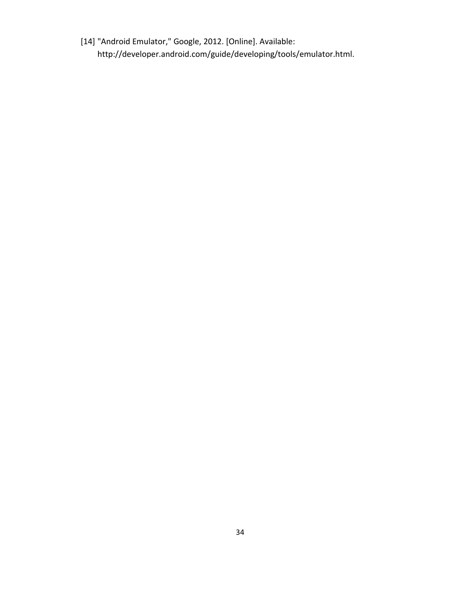[14] "Android Emulator," Google, 2012. [Online]. Available: http://developer.android.com/guide/developing/tools/emulator.html.